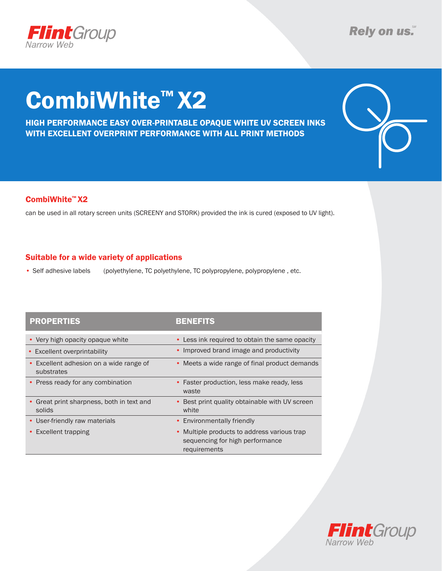

# CombiWhite™ X2

HIGH PERFORMANCE EASY OVER-PRINTABLE OPAQUE WHITE UV SCREEN INKS WITH EXCELLENT OVERPRINT PERFORMANCE WITH ALL PRINT METHODS



### CombiWhite™ X2

can be used in all rotary screen units (SCREENY and STORK) provided the ink is cured (exposed to UV light).

### Suitable for a wide variety of applications

• Self adhesive labels (polyethylene, TC polyethylene, TC polypropylene, polypropylene, etc.

| <b>PROPERTIES</b>                                                | BENEFITS                                                                                       |
|------------------------------------------------------------------|------------------------------------------------------------------------------------------------|
| • Very high opacity opaque white                                 | • Less ink required to obtain the same opacity                                                 |
| • Excellent overprintability                                     | • Improved brand image and productivity                                                        |
| Excellent adhesion on a wide range of<br>$\bullet$<br>substrates | • Meets a wide range of final product demands                                                  |
| • Press ready for any combination                                | • Faster production, less make ready, less<br>waste                                            |
| Great print sharpness, both in text and<br>solids                | • Best print quality obtainable with UV screen<br>white                                        |
| • User-friendly raw materials                                    | • Environmentally friendly                                                                     |
| Excellent trapping                                               | • Multiple products to address various trap<br>sequencing for high performance<br>requirements |

# **Flint**Group Narrow Web